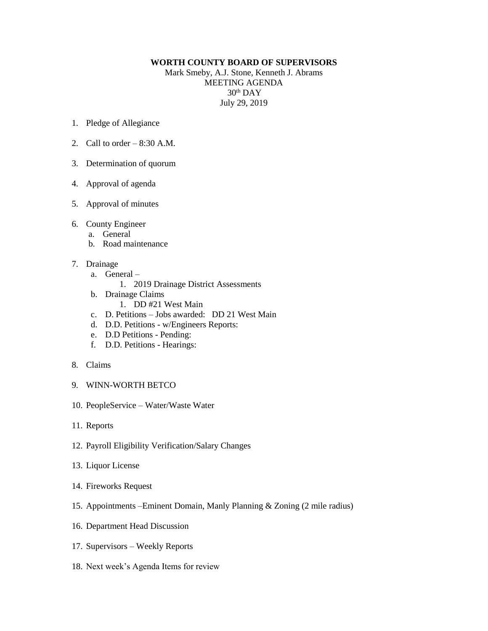## **WORTH COUNTY BOARD OF SUPERVISORS**

Mark Smeby, A.J. Stone, Kenneth J. Abrams MEETING AGENDA 30th DAY July 29, 2019

- 1. Pledge of Allegiance
- 2. Call to order  $-8:30$  A.M.
- 3. Determination of quorum
- 4. Approval of agenda
- 5. Approval of minutes
- 6. County Engineer
	- a. General
	- b. Road maintenance
- 7. Drainage
	- a. General
		- 1. 2019 Drainage District Assessments
	- b. Drainage Claims
		- 1. DD #21 West Main
	- c. D. Petitions Jobs awarded: DD 21 West Main
	- d. D.D. Petitions w/Engineers Reports:
	- e. D.D Petitions Pending:
	- f. D.D. Petitions Hearings:
- 8. Claims
- 9. WINN-WORTH BETCO
- 10. PeopleService Water/Waste Water
- 11. Reports
- 12. Payroll Eligibility Verification/Salary Changes
- 13. Liquor License
- 14. Fireworks Request
- 15. Appointments –Eminent Domain, Manly Planning & Zoning (2 mile radius)
- 16. Department Head Discussion
- 17. Supervisors Weekly Reports
- 18. Next week's Agenda Items for review